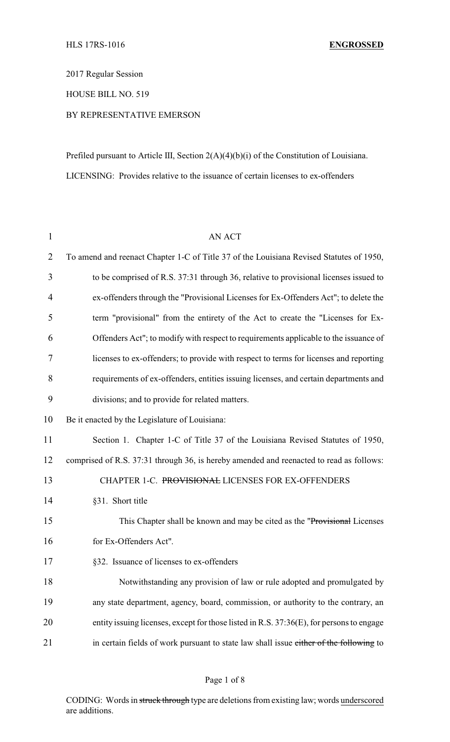2017 Regular Session

HOUSE BILL NO. 519

## BY REPRESENTATIVE EMERSON

Prefiled pursuant to Article III, Section 2(A)(4)(b)(i) of the Constitution of Louisiana. LICENSING: Provides relative to the issuance of certain licenses to ex-offenders

| $\mathbf{1}$   | <b>AN ACT</b>                                                                            |
|----------------|------------------------------------------------------------------------------------------|
| $\overline{2}$ | To amend and reenact Chapter 1-C of Title 37 of the Louisiana Revised Statutes of 1950,  |
| 3              | to be comprised of R.S. 37:31 through 36, relative to provisional licenses issued to     |
| 4              | ex-offenders through the "Provisional Licenses for Ex-Offenders Act"; to delete the      |
| 5              | term "provisional" from the entirety of the Act to create the "Licenses for Ex-          |
| 6              | Offenders Act"; to modify with respect to requirements applicable to the issuance of     |
| 7              | licenses to ex-offenders; to provide with respect to terms for licenses and reporting    |
| 8              | requirements of ex-offenders, entities issuing licenses, and certain departments and     |
| 9              | divisions; and to provide for related matters.                                           |
| 10             | Be it enacted by the Legislature of Louisiana:                                           |
| 11             | Section 1. Chapter 1-C of Title 37 of the Louisiana Revised Statutes of 1950,            |
| 12             | comprised of R.S. 37:31 through 36, is hereby amended and reenacted to read as follows:  |
| 13             | CHAPTER 1-C. PROVISIONAL LICENSES FOR EX-OFFENDERS                                       |
| 14             | §31. Short title                                                                         |
| 15             | This Chapter shall be known and may be cited as the "Provisional Licenses"               |
| 16             | for Ex-Offenders Act".                                                                   |
| 17             | §32. Issuance of licenses to ex-offenders                                                |
| 18             | Notwithstanding any provision of law or rule adopted and promulgated by                  |
| 19             | any state department, agency, board, commission, or authority to the contrary, an        |
| 20             | entity issuing licenses, except for those listed in R.S. 37:36(E), for persons to engage |
| 21             | in certain fields of work pursuant to state law shall issue either of the following to   |

## Page 1 of 8

CODING: Words in struck through type are deletions from existing law; words underscored are additions.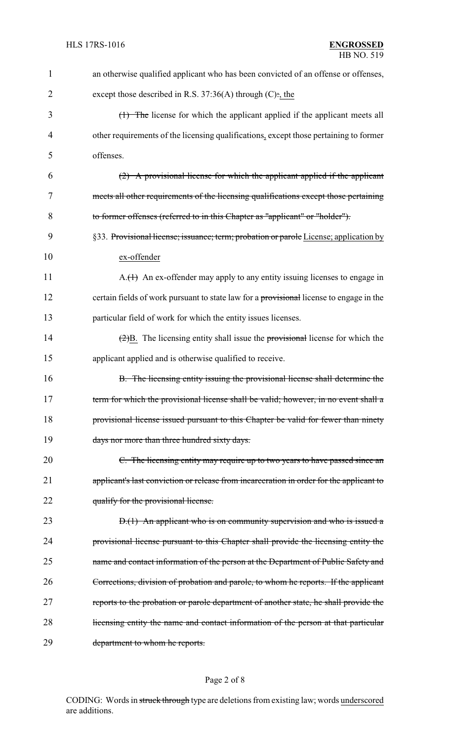| $\mathbf{1}$   | an otherwise qualified applicant who has been convicted of an offense or offenses,                   |
|----------------|------------------------------------------------------------------------------------------------------|
| $\overline{2}$ | except those described in R.S. $37:36(A)$ through (C):, the                                          |
| 3              | (1) The license for which the applicant applied if the applicant meets all                           |
| 4              | other requirements of the licensing qualifications, except those pertaining to former                |
| 5              | offenses.                                                                                            |
| 6              | (2) A provisional license for which the applicant applied if the applicant                           |
| 7              | meets all other requirements of the licensing qualifications except those pertaining                 |
| 8              | to former offenses (referred to in this Chapter as "applicant" or "holder").                         |
| 9              | §33. Provisional license; issuance; term; probation or parole License; application by                |
| 10             | ex-offender                                                                                          |
| 11             | $A_{\cdot}(1)$ An ex-offender may apply to any entity issuing licenses to engage in                  |
| 12             | certain fields of work pursuant to state law for a provisional license to engage in the              |
| 13             | particular field of work for which the entity issues licenses.                                       |
| 14             | $\left(\frac{2}{2}\right)B$ . The licensing entity shall issue the provisional license for which the |
| 15             | applicant applied and is otherwise qualified to receive.                                             |
| 16             | B. The licensing entity issuing the provisional license shall determine the                          |
| 17             | term for which the provisional license shall be valid; however, in no event shall a                  |
| 18             | provisional license issued pursuant to this Chapter be valid for fewer than ninety                   |
| 19             | days nor more than three hundred sixty days.                                                         |
| 20             | C. The licensing entity may require up to two years to have passed since an                          |
| 21             | applicant's last conviction or release from incarceration in order for the applicant to              |
| 22             | qualify for the provisional license.                                                                 |
| 23             | $D(1)$ An applicant who is on community supervision and who is issued a                              |
| 24             | provisional license pursuant to this Chapter shall provide the licensing entity the                  |
| 25             | name and contact information of the person at the Department of Public Safety and                    |
| 26             | Corrections, division of probation and parole, to whom he reports. If the applicant                  |
| 27             | reports to the probation or parole department of another state, he shall provide the                 |
| 28             | licensing entity the name and contact information of the person at that particular                   |
| 29             | department to whom he reports.                                                                       |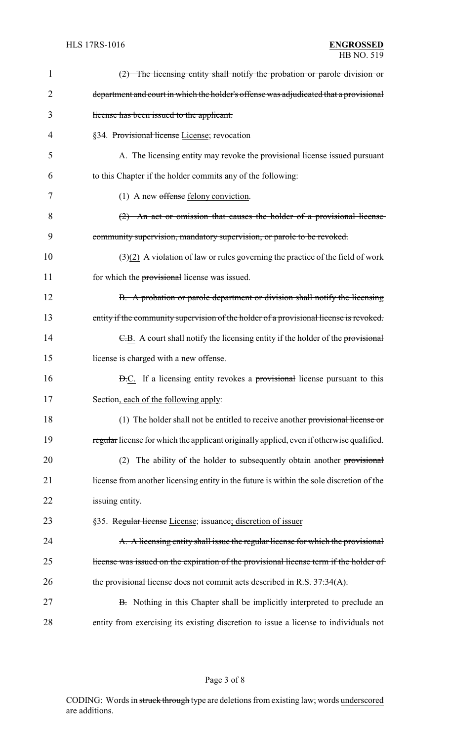| $\mathbf 1$ | (2) The licensing entity shall notify the probation or parole division or                          |
|-------------|----------------------------------------------------------------------------------------------------|
| 2           | department and court in which the holder's offense was adjudicated that a provisional              |
| 3           | license has been issued to the applicant.                                                          |
| 4           | §34. Provisional license License; revocation                                                       |
| 5           | A. The licensing entity may revoke the provisional license issued pursuant                         |
| 6           | to this Chapter if the holder commits any of the following:                                        |
| 7           | $(1)$ A new offense felony conviction.                                                             |
| 8           | $(2)$ An act or omission that causes the holder of a provisional license                           |
| 9           | community supervision, mandatory supervision, or parole to be revoked.                             |
| 10          | $\left(\frac{3}{2}\right)$ A violation of law or rules governing the practice of the field of work |
| 11          | for which the provisional license was issued.                                                      |
| 12          | B. A probation or parole department or division shall notify the licensing                         |
| 13          | entity if the community supervision of the holder of a provisional license is revoked.             |
| 14          | E.B. A court shall notify the licensing entity if the holder of the provisional                    |
| 15          | license is charged with a new offense.                                                             |
| 16          | <b>D.C.</b> If a licensing entity revokes a provisional license pursuant to this                   |
| 17          | Section, each of the following apply:                                                              |
| 18          | (1) The holder shall not be entitled to receive another provisional license or                     |
| 19          | regular license for which the applicant originally applied, even if otherwise qualified.           |
| 20          | The ability of the holder to subsequently obtain another provisional<br>(2)                        |
| 21          | license from another licensing entity in the future is within the sole discretion of the           |
| 22          | issuing entity.                                                                                    |
| 23          | §35. Regular license License; issuance; discretion of issuer                                       |
| 24          | A. A licensing entity shall issue the regular license for which the provisional                    |
| 25          | license was issued on the expiration of the provisional license term if the holder of              |
| 26          | the provisional license does not commit acts described in R.S. 37:34(A).                           |
| 27          | B. Nothing in this Chapter shall be implicitly interpreted to preclude an                          |
| 28          | entity from exercising its existing discretion to issue a license to individuals not               |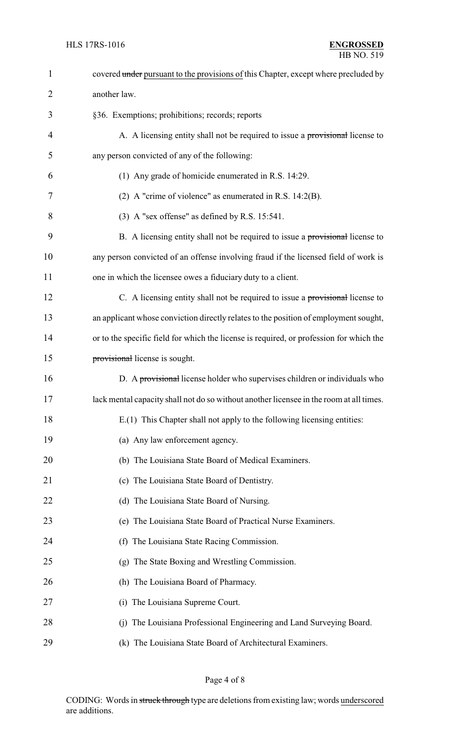| $\mathbf{1}$   | covered under pursuant to the provisions of this Chapter, except where precluded by     |
|----------------|-----------------------------------------------------------------------------------------|
| $\overline{2}$ | another law.                                                                            |
| 3              | §36. Exemptions; prohibitions; records; reports                                         |
| 4              | A. A licensing entity shall not be required to issue a provisional license to           |
| 5              | any person convicted of any of the following:                                           |
| 6              | (1) Any grade of homicide enumerated in R.S. 14:29.                                     |
| 7              | (2) A "crime of violence" as enumerated in R.S. $14:2(B)$ .                             |
| 8              | (3) A "sex offense" as defined by R.S. 15:541.                                          |
| 9              | B. A licensing entity shall not be required to issue a provisional license to           |
| 10             | any person convicted of an offense involving fraud if the licensed field of work is     |
| 11             | one in which the licensee owes a fiduciary duty to a client.                            |
| 12             | C. A licensing entity shall not be required to issue a provisional license to           |
| 13             | an applicant whose conviction directly relates to the position of employment sought,    |
| 14             | or to the specific field for which the license is required, or profession for which the |
| 15             | provisional license is sought.                                                          |
| 16             | D. A provisional license holder who supervises children or individuals who              |
| 17             | lack mental capacity shall not do so without another licensee in the room at all times. |
| 18             | E.(1) This Chapter shall not apply to the following licensing entities:                 |
| 19             | (a) Any law enforcement agency.                                                         |
| 20             | (b) The Louisiana State Board of Medical Examiners.                                     |
| 21             | (c) The Louisiana State Board of Dentistry.                                             |
| 22             | (d) The Louisiana State Board of Nursing.                                               |
| 23             | (e) The Louisiana State Board of Practical Nurse Examiners.                             |
| 24             | (f) The Louisiana State Racing Commission.                                              |
| 25             | (g) The State Boxing and Wrestling Commission.                                          |
| 26             | (h) The Louisiana Board of Pharmacy.                                                    |
| 27             | (i) The Louisiana Supreme Court.                                                        |
| 28             | (j) The Louisiana Professional Engineering and Land Surveying Board.                    |
| 29             | (k) The Louisiana State Board of Architectural Examiners.                               |

Page 4 of 8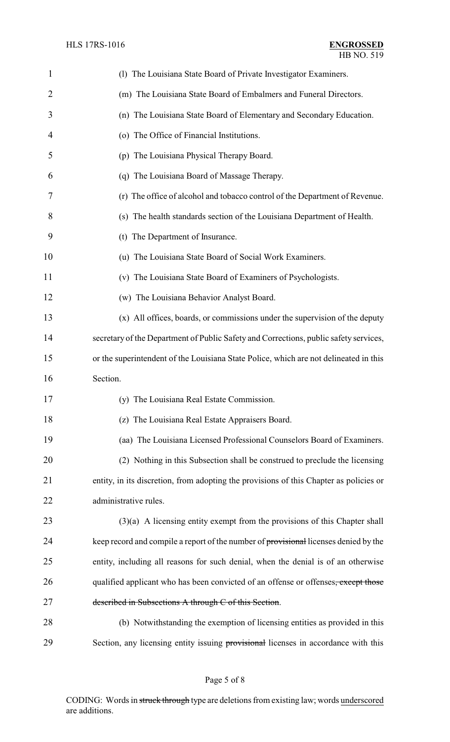| 1              | (1) The Louisiana State Board of Private Investigator Examiners.                       |
|----------------|----------------------------------------------------------------------------------------|
| $\overline{2}$ | (m) The Louisiana State Board of Embalmers and Funeral Directors.                      |
| 3              | (n) The Louisiana State Board of Elementary and Secondary Education.                   |
| 4              | (o) The Office of Financial Institutions.                                              |
| 5              | (p) The Louisiana Physical Therapy Board.                                              |
| 6              | (q) The Louisiana Board of Massage Therapy.                                            |
| 7              | (r) The office of alcohol and tobacco control of the Department of Revenue.            |
| 8              | (s) The health standards section of the Louisiana Department of Health.                |
| 9              | (t) The Department of Insurance.                                                       |
| 10             | (u) The Louisiana State Board of Social Work Examiners.                                |
| 11             | (v) The Louisiana State Board of Examiners of Psychologists.                           |
| 12             | (w) The Louisiana Behavior Analyst Board.                                              |
| 13             | (x) All offices, boards, or commissions under the supervision of the deputy            |
| 14             | secretary of the Department of Public Safety and Corrections, public safety services,  |
| 15             | or the superintendent of the Louisiana State Police, which are not delineated in this  |
| 16             | Section.                                                                               |
| 17             | (y) The Louisiana Real Estate Commission.                                              |
| 18             | (z) The Louisiana Real Estate Appraisers Board.                                        |
| 19             | (aa) The Louisiana Licensed Professional Counselors Board of Examiners.                |
| 20             | (2) Nothing in this Subsection shall be construed to preclude the licensing            |
| 21             | entity, in its discretion, from adopting the provisions of this Chapter as policies or |
| 22             | administrative rules.                                                                  |
| 23             | $(3)(a)$ A licensing entity exempt from the provisions of this Chapter shall           |
| 24             | keep record and compile a report of the number of provisional licenses denied by the   |
| 25             | entity, including all reasons for such denial, when the denial is of an otherwise      |
| 26             | qualified applicant who has been convicted of an offense or offenses, except those     |
| 27             | described in Subsections A through C of this Section.                                  |
| 28             | (b) Notwithstanding the exemption of licensing entities as provided in this            |
| 29             | Section, any licensing entity issuing provisional licenses in accordance with this     |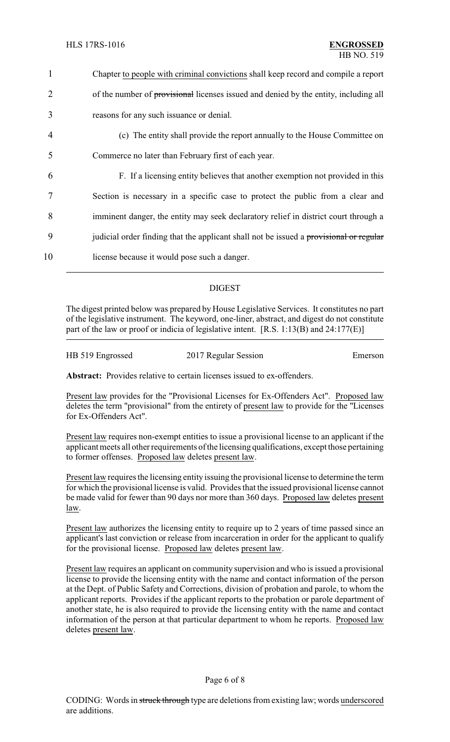| 1              | Chapter to people with criminal convictions shall keep record and compile a report     |
|----------------|----------------------------------------------------------------------------------------|
| 2              | of the number of provisional licenses issued and denied by the entity, including all   |
| 3              | reasons for any such issuance or denial.                                               |
| $\overline{4}$ | (c) The entity shall provide the report annually to the House Committee on             |
| 5              | Commerce no later than February first of each year.                                    |
| 6              | F. If a licensing entity believes that another exemption not provided in this          |
|                | Section is necessary in a specific case to protect the public from a clear and         |
| 8              | imminent danger, the entity may seek declaratory relief in district court through a    |
| 9              | judicial order finding that the applicant shall not be issued a provisional or regular |
| 10             | license because it would pose such a danger.                                           |

## DIGEST

The digest printed below was prepared by House Legislative Services. It constitutes no part of the legislative instrument. The keyword, one-liner, abstract, and digest do not constitute part of the law or proof or indicia of legislative intent. [R.S. 1:13(B) and 24:177(E)]

HB 519 Engrossed 2017 Regular Session Emerson

**Abstract:** Provides relative to certain licenses issued to ex-offenders.

Present law provides for the "Provisional Licenses for Ex-Offenders Act". Proposed law deletes the term "provisional" from the entirety of present law to provide for the "Licenses for Ex-Offenders Act".

Present law requires non-exempt entities to issue a provisional license to an applicant if the applicant meets all other requirements of the licensing qualifications, except those pertaining to former offenses. Proposed law deletes present law.

Present law requires the licensing entity issuing the provisional license to determine the term for which the provisional license is valid. Provides that the issued provisional license cannot be made valid for fewer than 90 days nor more than 360 days. Proposed law deletes present law.

Present law authorizes the licensing entity to require up to 2 years of time passed since an applicant's last conviction or release from incarceration in order for the applicant to qualify for the provisional license. Proposed law deletes present law.

Present law requires an applicant on community supervision and who is issued a provisional license to provide the licensing entity with the name and contact information of the person at the Dept. of Public Safety and Corrections, division of probation and parole, to whom the applicant reports. Provides if the applicant reports to the probation or parole department of another state, he is also required to provide the licensing entity with the name and contact information of the person at that particular department to whom he reports. Proposed law deletes present law.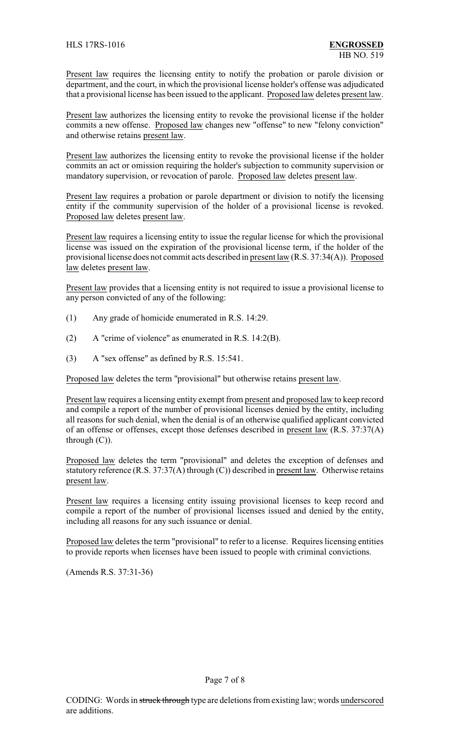Present law requires the licensing entity to notify the probation or parole division or department, and the court, in which the provisional license holder's offense was adjudicated that a provisional license has been issued to the applicant. Proposed law deletes present law.

Present law authorizes the licensing entity to revoke the provisional license if the holder commits a new offense. Proposed law changes new "offense" to new "felony conviction" and otherwise retains present law.

Present law authorizes the licensing entity to revoke the provisional license if the holder commits an act or omission requiring the holder's subjection to community supervision or mandatory supervision, or revocation of parole. Proposed law deletes present law.

Present law requires a probation or parole department or division to notify the licensing entity if the community supervision of the holder of a provisional license is revoked. Proposed law deletes present law.

Present law requires a licensing entity to issue the regular license for which the provisional license was issued on the expiration of the provisional license term, if the holder of the provisional license does not commit acts described in present law (R.S. 37:34(A)). Proposed law deletes present law.

Present law provides that a licensing entity is not required to issue a provisional license to any person convicted of any of the following:

- (1) Any grade of homicide enumerated in R.S. 14:29.
- (2) A "crime of violence" as enumerated in R.S. 14:2(B).
- (3) A "sex offense" as defined by R.S. 15:541.

Proposed law deletes the term "provisional" but otherwise retains present law.

Present law requires a licensing entity exempt from present and proposed law to keep record and compile a report of the number of provisional licenses denied by the entity, including all reasons for such denial, when the denial is of an otherwise qualified applicant convicted of an offense or offenses, except those defenses described in present law (R.S. 37:37(A) through (C)).

Proposed law deletes the term "provisional" and deletes the exception of defenses and statutory reference (R.S. 37:37(A) through (C)) described in present law. Otherwise retains present law.

Present law requires a licensing entity issuing provisional licenses to keep record and compile a report of the number of provisional licenses issued and denied by the entity, including all reasons for any such issuance or denial.

Proposed law deletes the term "provisional" to refer to a license. Requires licensing entities to provide reports when licenses have been issued to people with criminal convictions.

(Amends R.S. 37:31-36)